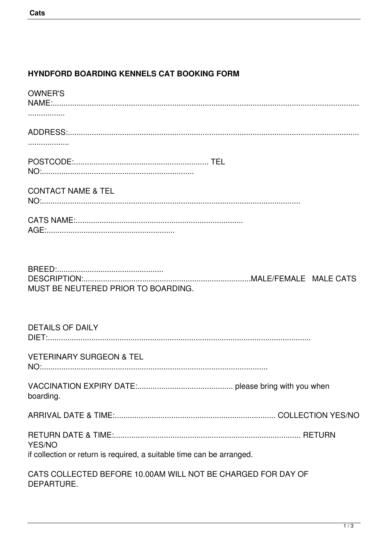## **HYNDFORD BOARDING KENNELS CAT BOOKING FORM**

| <b>OWNER'S</b>                                                             |
|----------------------------------------------------------------------------|
|                                                                            |
|                                                                            |
|                                                                            |
|                                                                            |
| <b>CONTACT NAME &amp; TEL</b>                                              |
|                                                                            |
| MUST BE NEUTERED PRIOR TO BOARDING.                                        |
| <b>DETAILS OF DAILY</b>                                                    |
| <b>VETERINARY SURGEON &amp; TEL</b>                                        |
| boarding.                                                                  |
|                                                                            |
| YES/NO                                                                     |
| if collection or return is required, a suitable time can be arranged.      |
| CATS COLLECTED BEFORE 10.00AM WILL NOT BE CHARGED FOR DAY OF<br>DEPARTURE. |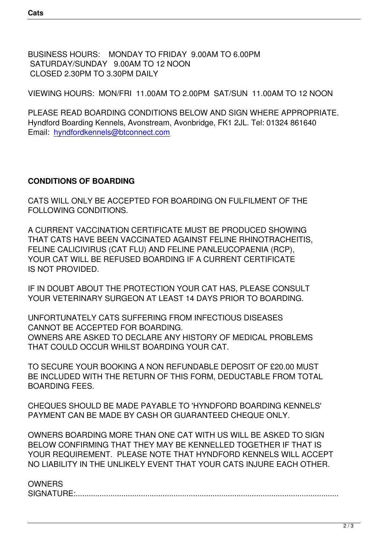BUSINESS HOURS: MONDAY TO FRIDAY 9.00AM TO 6.00PM SATURDAY/SUNDAY 9.00AM TO 12 NOON CLOSED 2.30PM TO 3.30PM DAILY

VIEWING HOURS: MON/FRI 11.00AM TO 2.00PM SAT/SUN 11.00AM TO 12 NOON

PLEASE READ BOARDING CONDITIONS BELOW AND SIGN WHERE APPROPRIATE. Hyndford Boarding Kennels, Avonstream, Avonbridge, FK1 2JL. Tel: 01324 861640 Email: hyndfordkennels@btconnect.com

## **CONDITIONS OF BOARDING**

CATS WILL ONLY BE ACCEPTED FOR BOARDING ON FULFILMENT OF THE FOLLOWING CONDITIONS.

A CURRENT VACCINATION CERTIFICATE MUST BE PRODUCED SHOWING THAT CATS HAVE BEEN VACCINATED AGAINST FELINE RHINOTRACHEITIS, FELINE CALICIVIRUS (CAT FLU) AND FELINE PANLEUCOPAENIA (RCP), YOUR CAT WILL BE REFUSED BOARDING IF A CURRENT CERTIFICATE IS NOT PROVIDED.

IF IN DOUBT ABOUT THE PROTECTION YOUR CAT HAS, PLEASE CONSULT YOUR VETERINARY SURGEON AT LEAST 14 DAYS PRIOR TO BOARDING.

UNFORTUNATELY CATS SUFFERING FROM INFECTIOUS DISEASES CANNOT BE ACCEPTED FOR BOARDING. OWNERS ARE ASKED TO DECLARE ANY HISTORY OF MEDICAL PROBLEMS THAT COULD OCCUR WHILST BOARDING YOUR CAT.

TO SECURE YOUR BOOKING A NON REFUNDABLE DEPOSIT OF £20.00 MUST BE INCLUDED WITH THE RETURN OF THIS FORM, DEDUCTABLE FROM TOTAL BOARDING FEES.

CHEQUES SHOULD BE MADE PAYABLE TO 'HYNDFORD BOARDING KENNELS' PAYMENT CAN BE MADE BY CASH OR GUARANTEED CHEQUE ONLY.

OWNERS BOARDING MORE THAN ONE CAT WITH US WILL BE ASKED TO SIGN BELOW CONFIRMING THAT THEY MAY BE KENNELLED TOGETHER IF THAT IS YOUR REQUIREMENT. PLEASE NOTE THAT HYNDFORD KENNELS WILL ACCEPT NO LIABILITY IN THE UNLIKELY EVENT THAT YOUR CATS INJURE EACH OTHER.

## **OWNERS**

SIGNATURE:.....................